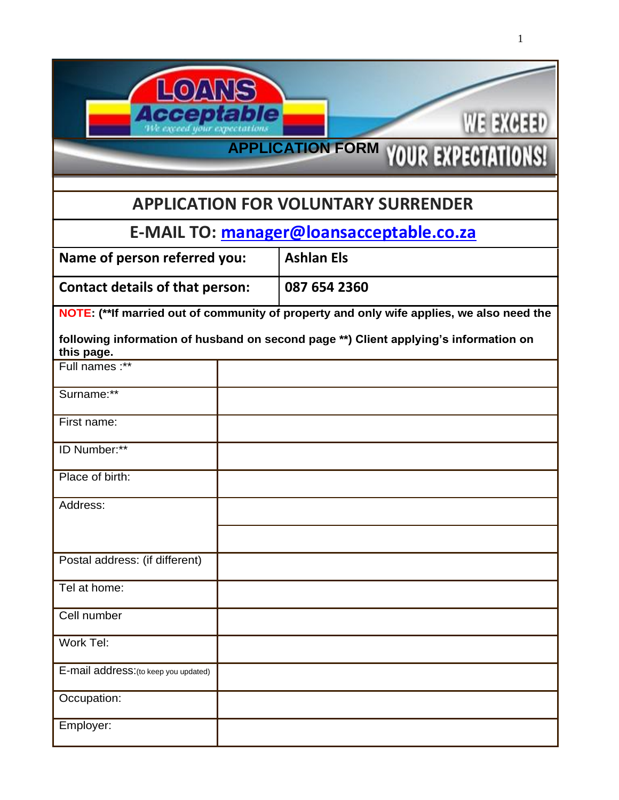| LOANS<br><b>Acceptable</b>             | <b>ME EXGEED</b><br><b>APPLICATION FORM</b>                                              |
|----------------------------------------|------------------------------------------------------------------------------------------|
|                                        | <b>YOUR EXPECTATIONS!</b>                                                                |
|                                        |                                                                                          |
|                                        | <b>APPLICATION FOR VOLUNTARY SURRENDER</b>                                               |
|                                        | E-MAIL TO: manager@loansacceptable.co.za                                                 |
| Name of person referred you:           | <b>Ashlan Els</b>                                                                        |
| <b>Contact details of that person:</b> | 087 654 2360                                                                             |
|                                        | NOTE: (**If married out of community of property and only wife applies, we also need the |
| this page.                             | following information of husband on second page **) Client applying's information on     |
| Full names:**                          |                                                                                          |
| Surname:**                             |                                                                                          |
| First name:                            |                                                                                          |
| ID Number:**                           |                                                                                          |
| Place of birth:                        |                                                                                          |
| Address:                               |                                                                                          |
|                                        |                                                                                          |
| Postal address: (if different)         |                                                                                          |
| Tel at home:                           |                                                                                          |
| Cell number                            |                                                                                          |
| Work Tel:                              |                                                                                          |
| E-mail address: (to keep you updated)  |                                                                                          |
| Occupation:                            |                                                                                          |
| Employer:                              |                                                                                          |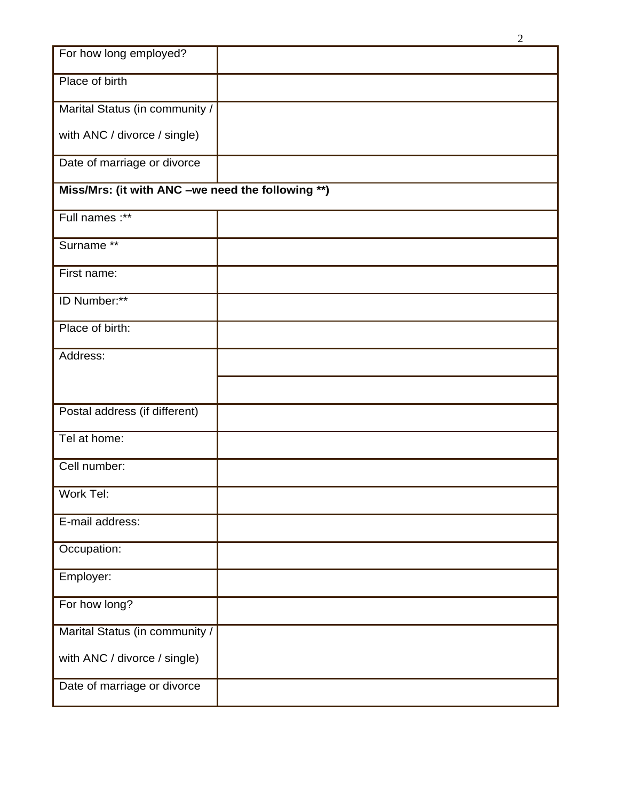|                                                   | $\mathfrak{2}$ |
|---------------------------------------------------|----------------|
| For how long employed?                            |                |
| Place of birth                                    |                |
| Marital Status (in community /                    |                |
| with ANC / divorce / single)                      |                |
| Date of marriage or divorce                       |                |
| Miss/Mrs: (it with ANC -we need the following **) |                |
| Full names :**                                    |                |
| Surname <sup>**</sup>                             |                |
| First name:                                       |                |
| ID Number:**                                      |                |
| Place of birth:                                   |                |
| Address:                                          |                |
|                                                   |                |
| Postal address (if different)                     |                |
| Tel at home:                                      |                |
| Cell number:                                      |                |
| Work Tel:                                         |                |
| E-mail address:                                   |                |
| Occupation:                                       |                |
| Employer:                                         |                |
| For how long?                                     |                |
| Marital Status (in community /                    |                |
| with ANC / divorce / single)                      |                |
| Date of marriage or divorce                       |                |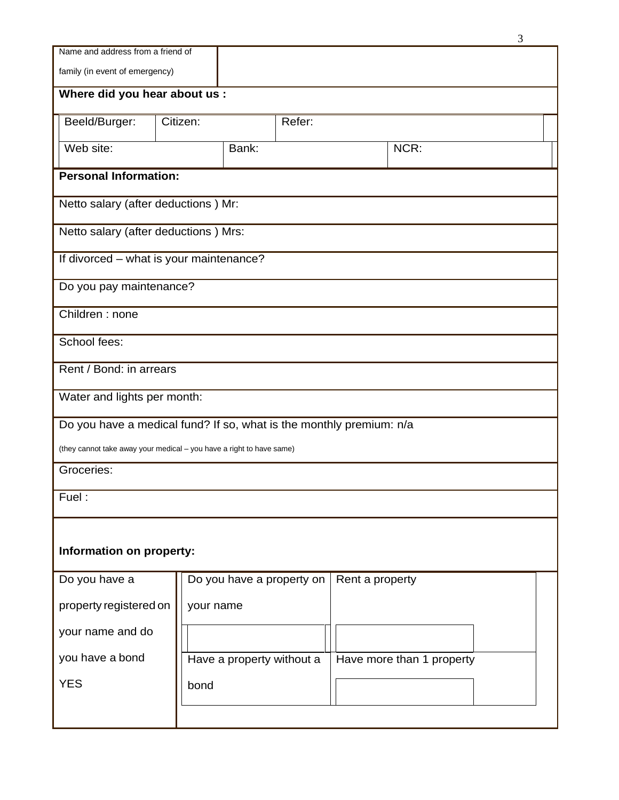|                                                                      |           |                           |                           |                 |                           | 3 |
|----------------------------------------------------------------------|-----------|---------------------------|---------------------------|-----------------|---------------------------|---|
| Name and address from a friend of                                    |           |                           |                           |                 |                           |   |
| family (in event of emergency)                                       |           |                           |                           |                 |                           |   |
| Where did you hear about us :                                        |           |                           |                           |                 |                           |   |
| Beeld/Burger:                                                        | Citizen:  |                           | Refer:                    |                 |                           |   |
| Web site:                                                            |           | Bank:                     |                           |                 | NCR:                      |   |
| <b>Personal Information:</b>                                         |           |                           |                           |                 |                           |   |
| Netto salary (after deductions) Mr:                                  |           |                           |                           |                 |                           |   |
| Netto salary (after deductions) Mrs:                                 |           |                           |                           |                 |                           |   |
| If divorced - what is your maintenance?                              |           |                           |                           |                 |                           |   |
| Do you pay maintenance?                                              |           |                           |                           |                 |                           |   |
| Children: none                                                       |           |                           |                           |                 |                           |   |
| School fees:                                                         |           |                           |                           |                 |                           |   |
| Rent / Bond: in arrears                                              |           |                           |                           |                 |                           |   |
| Water and lights per month:                                          |           |                           |                           |                 |                           |   |
| Do you have a medical fund? If so, what is the monthly premium: n/a  |           |                           |                           |                 |                           |   |
| (they cannot take away your medical - you have a right to have same) |           |                           |                           |                 |                           |   |
| Groceries:                                                           |           |                           |                           |                 |                           |   |
| Fuel:                                                                |           |                           |                           |                 |                           |   |
|                                                                      |           |                           |                           |                 |                           |   |
| Information on property:                                             |           |                           |                           |                 |                           |   |
| Do you have a                                                        |           |                           | Do you have a property on | Rent a property |                           |   |
| property registered on                                               | your name |                           |                           |                 |                           |   |
| your name and do                                                     |           |                           |                           |                 |                           |   |
| you have a bond                                                      |           | Have a property without a |                           |                 | Have more than 1 property |   |
| <b>YES</b>                                                           | bond      |                           |                           |                 |                           |   |
|                                                                      |           |                           |                           |                 |                           |   |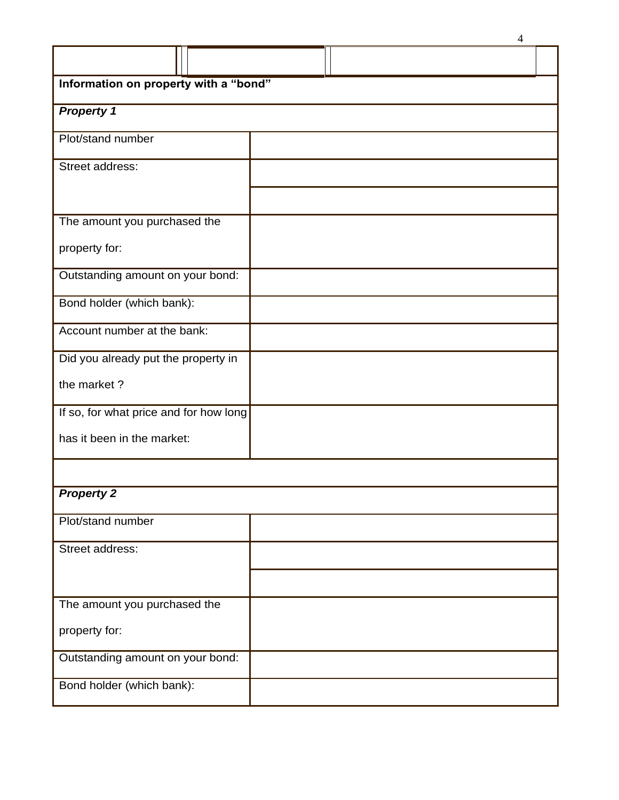|                                        | $\overline{4}$ |  |
|----------------------------------------|----------------|--|
|                                        |                |  |
| Information on property with a "bond"  |                |  |
| <b>Property 1</b>                      |                |  |
| Plot/stand number                      |                |  |
| Street address:                        |                |  |
|                                        |                |  |
| The amount you purchased the           |                |  |
| property for:                          |                |  |
| Outstanding amount on your bond:       |                |  |
| Bond holder (which bank):              |                |  |
| Account number at the bank:            |                |  |
| Did you already put the property in    |                |  |
| the market?                            |                |  |
| If so, for what price and for how long |                |  |
| has it been in the market:             |                |  |
|                                        |                |  |
| <b>Property 2</b>                      |                |  |
| Plot/stand number                      |                |  |
| Street address:                        |                |  |
|                                        |                |  |
| The amount you purchased the           |                |  |
| property for:                          |                |  |
| Outstanding amount on your bond:       |                |  |
| Bond holder (which bank):              |                |  |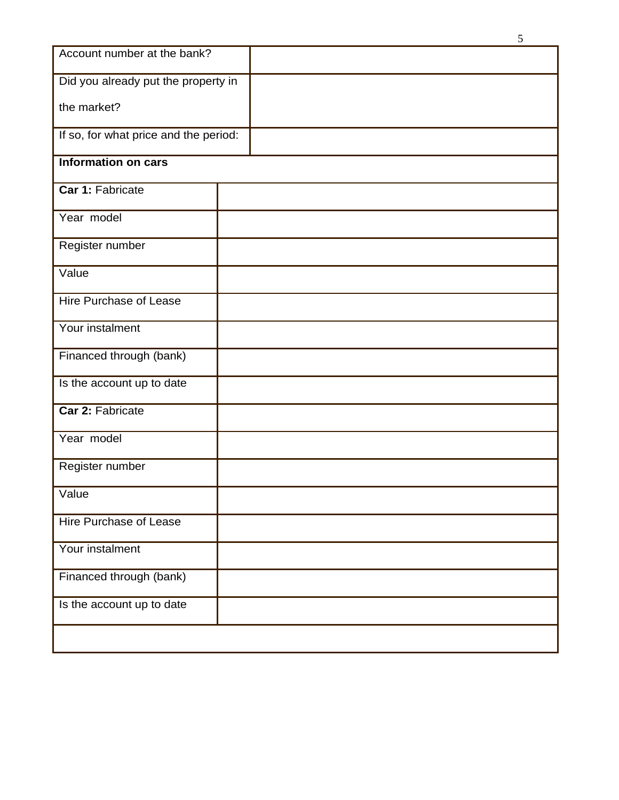| Account number at the bank?           |  |
|---------------------------------------|--|
| Did you already put the property in   |  |
| the market?                           |  |
| If so, for what price and the period: |  |
| <b>Information on cars</b>            |  |
| Car 1: Fabricate                      |  |
| Year model                            |  |
| Register number                       |  |
| Value                                 |  |
| Hire Purchase of Lease                |  |
| Your instalment                       |  |
| Financed through (bank)               |  |
| Is the account up to date             |  |
| Car 2: Fabricate                      |  |
| Year model                            |  |
| Register number                       |  |
| Value                                 |  |
| <b>Hire Purchase of Lease</b>         |  |
| Your instalment                       |  |
| Financed through (bank)               |  |
| Is the account up to date             |  |
|                                       |  |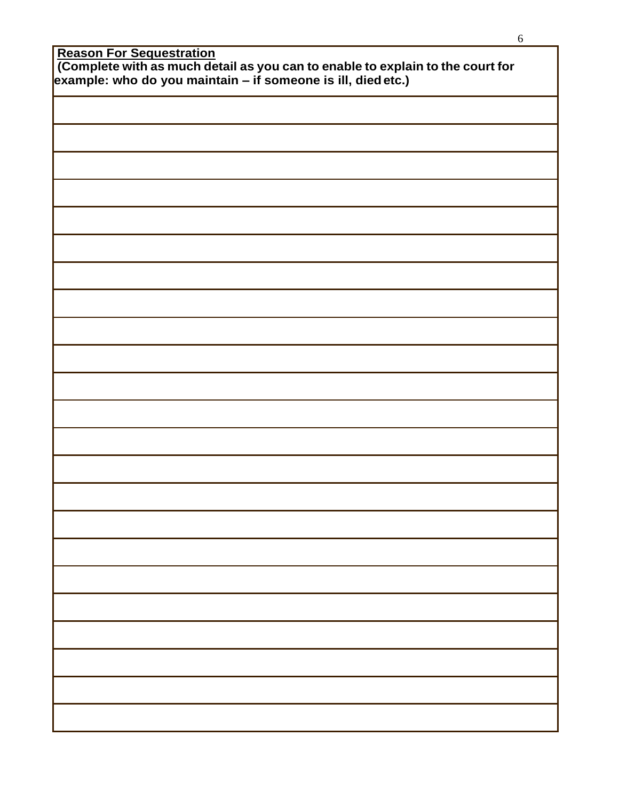| 6                                                                                                                                                                          |  |
|----------------------------------------------------------------------------------------------------------------------------------------------------------------------------|--|
| Reason For Sequestration<br>(Complete with as much detail as you can to enable to explain to the court for<br>example: who do you maintain – if someone is ill, died etc.) |  |
|                                                                                                                                                                            |  |
|                                                                                                                                                                            |  |
|                                                                                                                                                                            |  |
|                                                                                                                                                                            |  |
|                                                                                                                                                                            |  |
|                                                                                                                                                                            |  |
|                                                                                                                                                                            |  |
|                                                                                                                                                                            |  |
|                                                                                                                                                                            |  |
|                                                                                                                                                                            |  |
|                                                                                                                                                                            |  |
|                                                                                                                                                                            |  |
|                                                                                                                                                                            |  |
|                                                                                                                                                                            |  |
|                                                                                                                                                                            |  |
|                                                                                                                                                                            |  |
|                                                                                                                                                                            |  |
|                                                                                                                                                                            |  |
|                                                                                                                                                                            |  |
|                                                                                                                                                                            |  |
|                                                                                                                                                                            |  |
|                                                                                                                                                                            |  |
|                                                                                                                                                                            |  |
|                                                                                                                                                                            |  |
|                                                                                                                                                                            |  |
|                                                                                                                                                                            |  |
|                                                                                                                                                                            |  |
|                                                                                                                                                                            |  |
|                                                                                                                                                                            |  |
|                                                                                                                                                                            |  |
|                                                                                                                                                                            |  |
|                                                                                                                                                                            |  |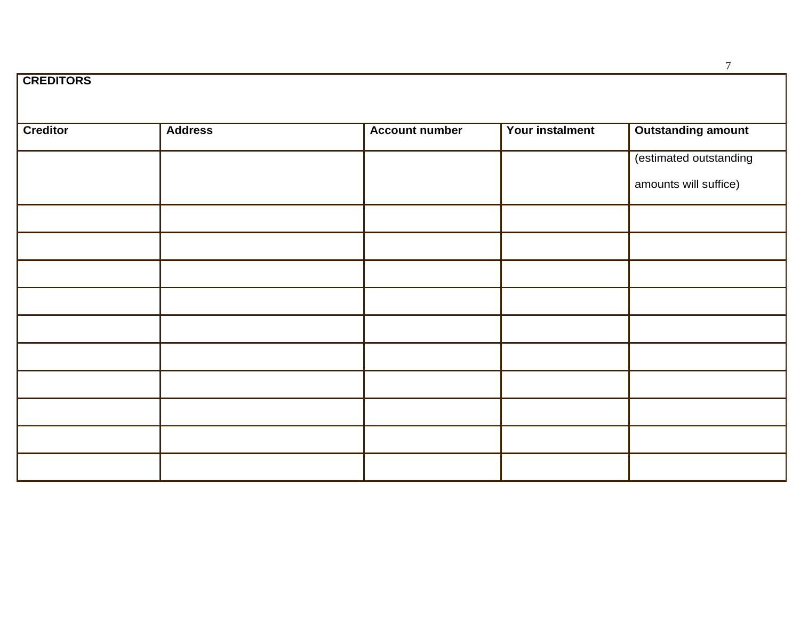| $\overline{7}$<br><b>CREDITORS</b><br><b>Account number</b><br>Your instalment<br><b>Creditor</b><br><b>Address</b><br>amounts will suffice) |  |  |  |                           |
|----------------------------------------------------------------------------------------------------------------------------------------------|--|--|--|---------------------------|
|                                                                                                                                              |  |  |  |                           |
|                                                                                                                                              |  |  |  | <b>Outstanding amount</b> |
|                                                                                                                                              |  |  |  | (estimated outstanding    |
|                                                                                                                                              |  |  |  |                           |
|                                                                                                                                              |  |  |  |                           |
|                                                                                                                                              |  |  |  |                           |
|                                                                                                                                              |  |  |  |                           |
|                                                                                                                                              |  |  |  |                           |
|                                                                                                                                              |  |  |  |                           |
|                                                                                                                                              |  |  |  |                           |
|                                                                                                                                              |  |  |  |                           |
|                                                                                                                                              |  |  |  |                           |
|                                                                                                                                              |  |  |  |                           |
|                                                                                                                                              |  |  |  |                           |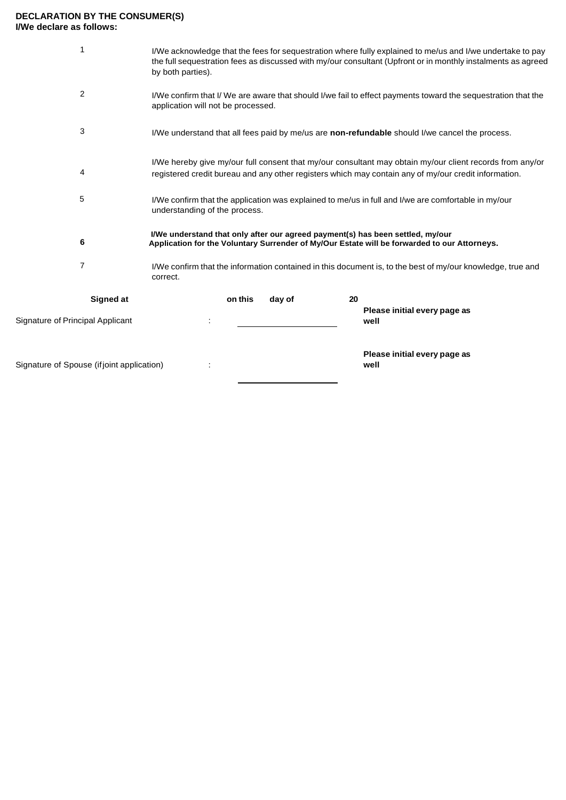## **DECLARATION BY THE CONSUMER(S) I/We declare as follows:**

| 1                                                    | I/We acknowledge that the fees for sequestration where fully explained to me/us and I/we undertake to pay<br>the full sequestration fees as discussed with my/our consultant (Upfront or in monthly instalments as agreed<br>by both parties). |
|------------------------------------------------------|------------------------------------------------------------------------------------------------------------------------------------------------------------------------------------------------------------------------------------------------|
| 2                                                    | I/We confirm that I/We are aware that should I/we fail to effect payments toward the sequestration that the<br>application will not be processed.                                                                                              |
| 3                                                    | I/We understand that all fees paid by me/us are <b>non-refundable</b> should I/we cancel the process.                                                                                                                                          |
| 4                                                    | I/We hereby give my/our full consent that my/our consultant may obtain my/our client records from any/or<br>registered credit bureau and any other registers which may contain any of my/our credit information.                               |
| 5                                                    | I/We confirm that the application was explained to me/us in full and I/we are comfortable in my/our<br>understanding of the process.                                                                                                           |
| 6                                                    | I/We understand that only after our agreed payment(s) has been settled, my/our<br>Application for the Voluntary Surrender of My/Our Estate will be forwarded to our Attorneys.                                                                 |
| $\overline{7}$                                       | I/We confirm that the information contained in this document is, to the best of my/our knowledge, true and<br>correct.                                                                                                                         |
| <b>Signed at</b><br>Signature of Principal Applicant | on this<br>day of<br>20<br>Please initial every page as<br>well                                                                                                                                                                                |

**Please initial every page as** 

**well**

Signature of Spouse (if joint application) :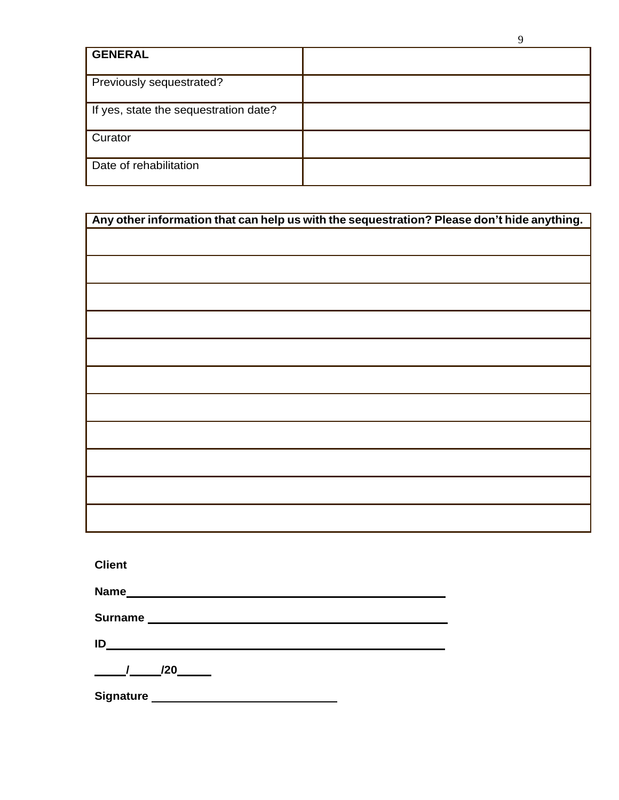|                                       | 9 |
|---------------------------------------|---|
| <b>GENERAL</b>                        |   |
| Previously sequestrated?              |   |
| If yes, state the sequestration date? |   |
| Curator                               |   |
| Date of rehabilitation                |   |

| Any other information that can help us with the sequestration? Please don't hide anything. |
|--------------------------------------------------------------------------------------------|
|                                                                                            |
|                                                                                            |
|                                                                                            |
|                                                                                            |
|                                                                                            |
|                                                                                            |
|                                                                                            |
|                                                                                            |
|                                                                                            |
|                                                                                            |
|                                                                                            |
|                                                                                            |

| <b>Client</b>    |     |                                                                                                                     |  |  |
|------------------|-----|---------------------------------------------------------------------------------------------------------------------|--|--|
| Name             |     |                                                                                                                     |  |  |
| <b>Surname</b>   |     | <u> 1989 - Andrea Albert III, politik eta politik eta politik eta politik eta politik eta politik eta politik e</u> |  |  |
| ID               |     |                                                                                                                     |  |  |
|                  | /20 |                                                                                                                     |  |  |
| <b>Signature</b> |     |                                                                                                                     |  |  |